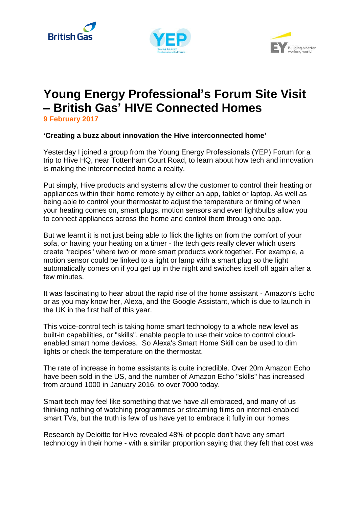





## **Young Energy Professional's Forum Site Visit – British Gas' HIVE Connected Homes**

**9 February 2017**

## **'Creating a buzz about innovation the Hive interconnected home'**

Yesterday I joined a group from the Young Energy Professionals (YEP) Forum for a trip to Hive HQ, near Tottenham Court Road, to learn about how tech and innovation is making the interconnected home a reality.

Put simply, Hive products and systems allow the customer to control their heating or appliances within their home remotely by either an app, tablet or laptop. As well as being able to control your thermostat to adjust the temperature or timing of when your heating comes on, smart plugs, motion sensors and even lightbulbs allow you to connect appliances across the home and control them through one app.

But we learnt it is not just being able to flick the lights on from the comfort of your sofa, or having your heating on a timer - the tech gets really clever which users create "recipes" where two or more smart products work together. For example, a motion sensor could be linked to a light or lamp with a smart plug so the light automatically comes on if you get up in the night and switches itself off again after a few minutes.

It was fascinating to hear about the rapid rise of the home assistant - Amazon's Echo or as you may know her, Alexa, and the Google Assistant, which is due to launch in the UK in the first half of this year.

This voice-control tech is taking home smart technology to a whole new level as built-in capabilities, or "skills", enable people to use their voice to control cloudenabled smart home devices. So Alexa's Smart Home Skill can be used to dim lights or check the temperature on the thermostat.

The rate of increase in home assistants is quite incredible. Over 20m Amazon Echo have been sold in the US, and the number of Amazon Echo "skills" has increased from around 1000 in January 2016, to over 7000 today.

Smart tech may feel like something that we have all embraced, and many of us thinking nothing of watching programmes or streaming films on internet-enabled smart TVs, but the truth is few of us have yet to embrace it fully in our homes.

Research by Deloitte for Hive revealed 48% of people don't have any smart technology in their home - with a similar proportion saying that they felt that cost was